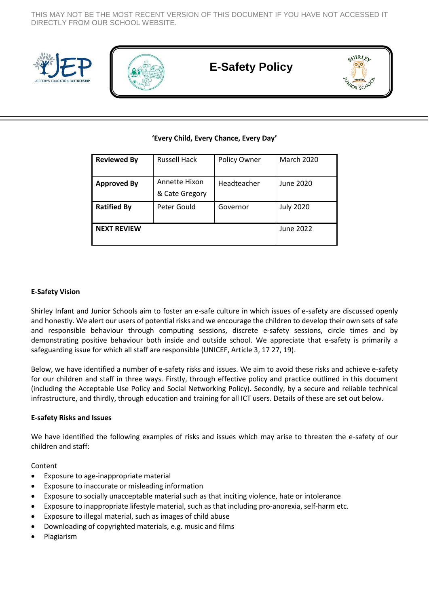THIS MAY NOT BE THE MOST RECENT VERSION OF THIS DOCUMENT IF YOU HAVE NOT ACCESSED IT DIRECTLY FROM OUR SCHOOL WEBSITE.





# **E-Safety Policy**



# **'Every Child, Every Chance, Every Day'**

| <b>Reviewed By</b> | <b>Russell Hack</b>             | Policy Owner | <b>March 2020</b> |
|--------------------|---------------------------------|--------------|-------------------|
| <b>Approved By</b> | Annette Hixon<br>& Cate Gregory | Headteacher  | June 2020         |
| <b>Ratified By</b> | Peter Gould                     | Governor     | <b>July 2020</b>  |
| <b>NEXT REVIEW</b> |                                 |              | June 2022         |

## **E-Safety Vision**

Shirley Infant and Junior Schools aim to foster an e-safe culture in which issues of e-safety are discussed openly and honestly. We alert our users of potential risks and we encourage the children to develop their own sets of safe and responsible behaviour through computing sessions, discrete e-safety sessions, circle times and by demonstrating positive behaviour both inside and outside school. We appreciate that e-safety is primarily a safeguarding issue for which all staff are responsible (UNICEF, Article 3, 17 27, 19).

Below, we have identified a number of e-safety risks and issues. We aim to avoid these risks and achieve e-safety for our children and staff in three ways. Firstly, through effective policy and practice outlined in this document (including the Acceptable Use Policy and Social Networking Policy). Secondly, by a secure and reliable technical infrastructure, and thirdly, through education and training for all ICT users. Details of these are set out below.

#### **E-safety Risks and Issues**

We have identified the following examples of risks and issues which may arise to threaten the e-safety of our children and staff:

Content

- Exposure to age-inappropriate material
- Exposure to inaccurate or misleading information
- Exposure to socially unacceptable material such as that inciting violence, hate or intolerance
- Exposure to inappropriate lifestyle material, such as that including pro-anorexia, self-harm etc.
- Exposure to illegal material, such as images of child abuse
- Downloading of copyrighted materials, e.g. music and films
- Plagiarism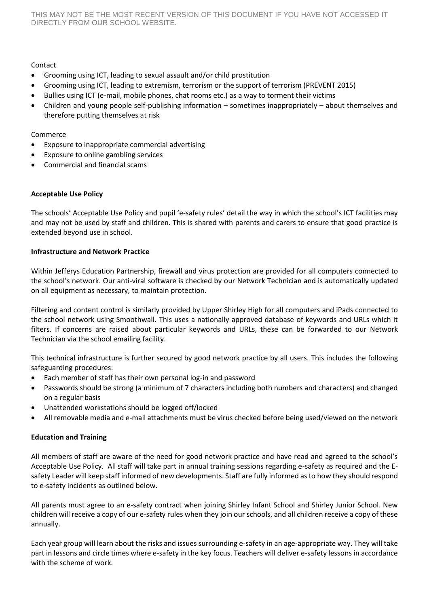# Contact

- Grooming using ICT, leading to sexual assault and/or child prostitution
- Grooming using ICT, leading to extremism, terrorism or the support of terrorism (PREVENT 2015)
- Bullies using ICT (e-mail, mobile phones, chat rooms etc.) as a way to torment their victims
- Children and young people self-publishing information sometimes inappropriately about themselves and therefore putting themselves at risk

# Commerce

- Exposure to inappropriate commercial advertising
- Exposure to online gambling services
- Commercial and financial scams

## **Acceptable Use Policy**

The schools' Acceptable Use Policy and pupil 'e-safety rules' detail the way in which the school's ICT facilities may and may not be used by staff and children. This is shared with parents and carers to ensure that good practice is extended beyond use in school.

## **Infrastructure and Network Practice**

Within Jefferys Education Partnership, firewall and virus protection are provided for all computers connected to the school's network. Our anti-viral software is checked by our Network Technician and is automatically updated on all equipment as necessary, to maintain protection.

Filtering and content control is similarly provided by Upper Shirley High for all computers and iPads connected to the school network using Smoothwall. This uses a nationally approved database of keywords and URLs which it filters. If concerns are raised about particular keywords and URLs, these can be forwarded to our Network Technician via the school emailing facility.

This technical infrastructure is further secured by good network practice by all users. This includes the following safeguarding procedures:

- Each member of staff has their own personal log-in and password
- Passwords should be strong (a minimum of 7 characters including both numbers and characters) and changed on a regular basis
- Unattended workstations should be logged off/locked
- All removable media and e-mail attachments must be virus checked before being used/viewed on the network

# **Education and Training**

All members of staff are aware of the need for good network practice and have read and agreed to the school's Acceptable Use Policy. All staff will take part in annual training sessions regarding e-safety as required and the Esafety Leader will keep staff informed of new developments. Staff are fully informed as to how they should respond to e-safety incidents as outlined below.

All parents must agree to an e-safety contract when joining Shirley Infant School and Shirley Junior School. New children will receive a copy of our e-safety rules when they join our schools, and all children receive a copy of these annually.

Each year group will learn about the risks and issues surrounding e-safety in an age-appropriate way. They will take part in lessons and circle times where e-safety in the key focus. Teachers will deliver e-safety lessons in accordance with the scheme of work.